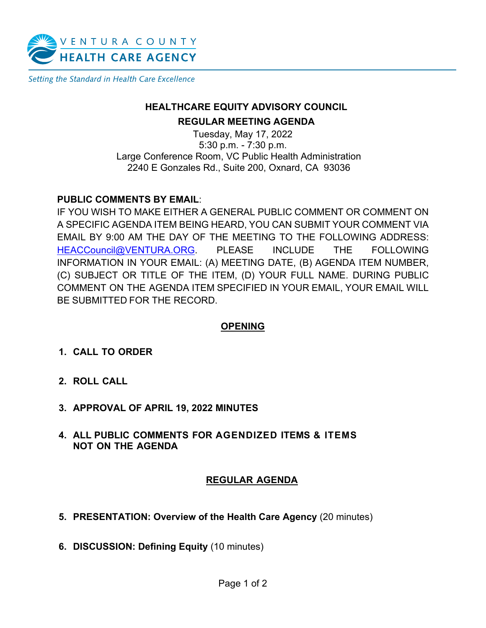

Setting the Standard in Health Care Excellence

## **HEALTHCARE EQUITY ADVISORY COUNCIL**

#### **REGULAR MEETING AGENDA**

Tuesday, May 17, 2022 5:30 p.m. - 7:30 p.m. Large Conference Room, VC Public Health Administration 2240 E Gonzales Rd., Suite 200, Oxnard, CA 93036

#### **PUBLIC COMMENTS BY EMAIL**:

IF YOU WISH TO MAKE EITHER A GENERAL PUBLIC COMMENT OR COMMENT ON A SPECIFIC AGENDA ITEM BEING HEARD, YOU CAN SUBMIT YOUR COMMENT VIA EMAIL BY 9:00 AM THE DAY OF THE MEETING TO THE FOLLOWING ADDRESS: [HEACCouncil@VENTURA.ORG.](mailto:HEACCouncil@VENTURA.ORG) PLEASE INCLUDE THE FOLLOWING INFORMATION IN YOUR EMAIL: (A) MEETING DATE, (B) AGENDA ITEM NUMBER, (C) SUBJECT OR TITLE OF THE ITEM, (D) YOUR FULL NAME. DURING PUBLIC COMMENT ON THE AGENDA ITEM SPECIFIED IN YOUR EMAIL, YOUR EMAIL WILL BE SUBMITTED FOR THE RECORD.

## **OPENING**

- **1. CALL TO ORDER**
- **2. ROLL CALL**
- **3. APPROVAL OF APRIL 19, 2022 MINUTES**
- **4. ALL PUBLIC COMMENTS FOR AGENDIZED ITEMS & ITEMS NOT ON THE AGENDA**

## **REGULAR AGENDA**

- **5. PRESENTATION: Overview of the Health Care Agency** (20 minutes)
- **6. DISCUSSION: Defining Equity** (10 minutes)